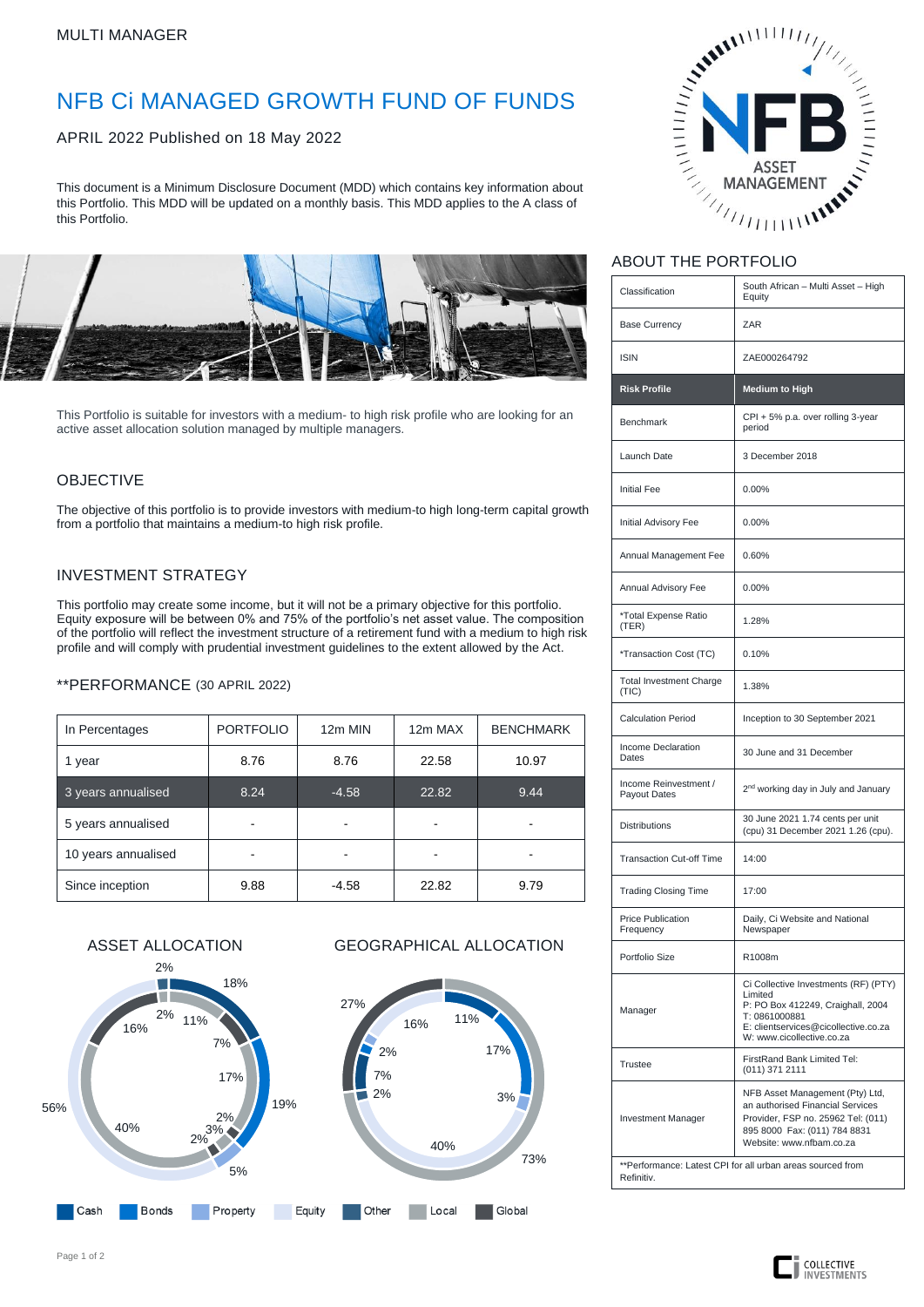# NFB Ci MANAGED GROWTH FUND OF FUNDS

APRIL 2022 Published on 18 May 2022

This document is a Minimum Disclosure Document (MDD) which contains key information about this Portfolio. This MDD will be updated on a monthly basis. This MDD applies to the A class of this Portfolio.



This Portfolio is suitable for investors with a medium- to high risk profile who are looking for an active asset allocation solution managed by multiple managers.

## OBJECTIVE

The objective of this portfolio is to provide investors with medium-to high long-term capital growth from a portfolio that maintains a medium-to high risk profile.

### INVESTMENT STRATEGY

This portfolio may create some income, but it will not be a primary objective for this portfolio. Equity exposure will be between 0% and 75% of the portfolio's net asset value. The composition of the portfolio will reflect the investment structure of a retirement fund with a medium to high risk profile and will comply with prudential investment guidelines to the extent allowed by the Act.

\*\*PERFORMANCE (30 APRIL 2022)

| In Percentages      | <b>PORTFOLIO</b> | 12m MIN | 12m MAX | <b>BENCHMARK</b> |  |
|---------------------|------------------|---------|---------|------------------|--|
| 1 year              | 8.76             | 8.76    | 22.58   | 10.97            |  |
| 3 years annualised  | 8.24             | $-4.58$ | 22.82   | 9.44             |  |
| 5 years annualised  |                  |         |         |                  |  |
| 10 years annualised |                  |         |         |                  |  |
| Since inception     | 9.88             | $-4.58$ | 22.82   | 9.79             |  |



# AMARIAL ASSET ASSET

## ABOUT THE PORTFOLIO

| Classification                                                           | South African - Multi Asset - High                                                                                                                                         |  |  |  |  |
|--------------------------------------------------------------------------|----------------------------------------------------------------------------------------------------------------------------------------------------------------------------|--|--|--|--|
|                                                                          | Equity                                                                                                                                                                     |  |  |  |  |
| <b>Base Currency</b>                                                     | ZAR                                                                                                                                                                        |  |  |  |  |
| <b>ISIN</b>                                                              | ZAE000264792                                                                                                                                                               |  |  |  |  |
| <b>Risk Profile</b>                                                      | <b>Medium to High</b>                                                                                                                                                      |  |  |  |  |
| Benchmark                                                                | CPI + 5% p.a. over rolling 3-year<br>period                                                                                                                                |  |  |  |  |
| Launch Date                                                              | 3 December 2018                                                                                                                                                            |  |  |  |  |
| <b>Initial Fee</b>                                                       | 0.00%                                                                                                                                                                      |  |  |  |  |
| Initial Advisory Fee                                                     | 0.00%                                                                                                                                                                      |  |  |  |  |
| Annual Management Fee                                                    | 0.60%                                                                                                                                                                      |  |  |  |  |
| Annual Advisory Fee                                                      | 0.00%                                                                                                                                                                      |  |  |  |  |
| *Total Expense Ratio<br>(TER)                                            | 1.28%                                                                                                                                                                      |  |  |  |  |
| *Transaction Cost (TC)                                                   | 0.10%                                                                                                                                                                      |  |  |  |  |
| <b>Total Investment Charge</b><br>(TIC)                                  | 1.38%                                                                                                                                                                      |  |  |  |  |
| <b>Calculation Period</b>                                                | Inception to 30 September 2021                                                                                                                                             |  |  |  |  |
| Income Declaration<br>Dates                                              | 30 June and 31 December                                                                                                                                                    |  |  |  |  |
| Income Reinvestment /<br>Payout Dates                                    | 2 <sup>nd</sup> working day in July and January                                                                                                                            |  |  |  |  |
| <b>Distributions</b>                                                     | 30 June 2021 1.74 cents per unit<br>(cpu) 31 December 2021 1.26 (cpu).                                                                                                     |  |  |  |  |
| <b>Transaction Cut-off Time</b>                                          | 14:00                                                                                                                                                                      |  |  |  |  |
| <b>Trading Closing Time</b>                                              | 17:00                                                                                                                                                                      |  |  |  |  |
| <b>Price Publication</b><br>Frequency                                    | Daily, Ci Website and National<br>Newspaper                                                                                                                                |  |  |  |  |
| Portfolio Size                                                           | R1008m                                                                                                                                                                     |  |  |  |  |
| Manager                                                                  | Ci Collective Investments (RF) (PTY)<br>Limited<br>P: PO Box 412249, Craighall, 2004<br>T: 0861000881<br>E: clientservices@cicollective.co.za<br>W: www.cicollective.co.za |  |  |  |  |
| <b>Trustee</b>                                                           | FirstRand Bank Limited Tel:<br>(011) 371 2111                                                                                                                              |  |  |  |  |
| <b>Investment Manager</b>                                                | NFB Asset Management (Pty) Ltd,<br>an authorised Financial Services<br>Provider, FSP no. 25962 Tel: (011)<br>895 8000 Fax: (011) 784 8831<br>Website: www.nfbam.co.za      |  |  |  |  |
| **Performance: Latest CPI for all urban areas sourced from<br>Refinitiv. |                                                                                                                                                                            |  |  |  |  |

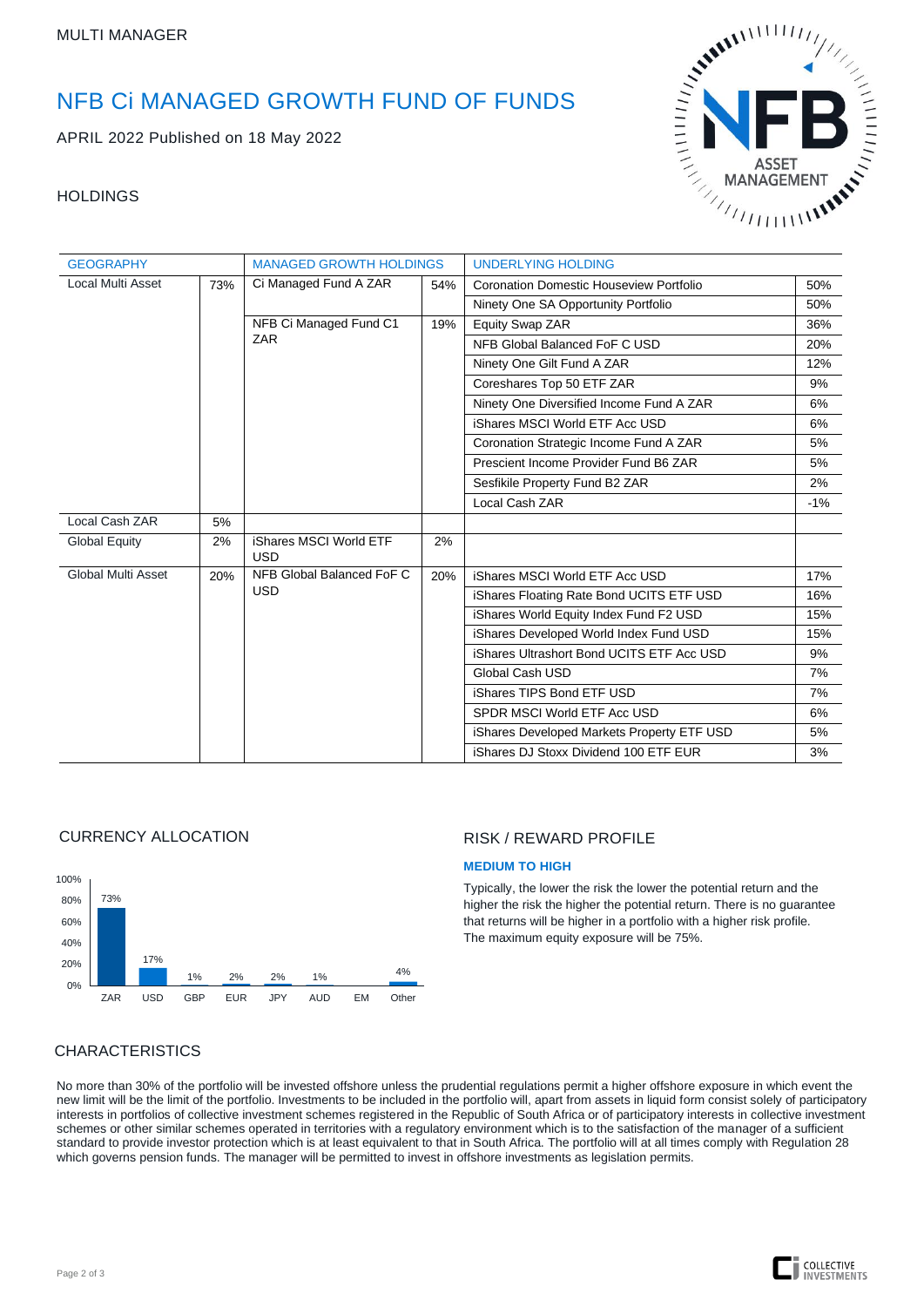# NFB Ci MANAGED GROWTH FUND OF FUNDS

APRIL 2022 Published on 18 May 2022

### **HOLDINGS**



| <b>GEOGRAPHY</b>                |     | <b>MANAGED GROWTH HOLDINGS</b>          |     | <b>UNDERLYING HOLDING</b>                  |        |  |
|---------------------------------|-----|-----------------------------------------|-----|--------------------------------------------|--------|--|
| <b>Local Multi Asset</b><br>73% |     | Ci Managed Fund A ZAR                   | 54% | Coronation Domestic Houseview Portfolio    | 50%    |  |
|                                 |     |                                         |     | Ninety One SA Opportunity Portfolio        | 50%    |  |
|                                 |     | NFB Ci Managed Fund C1<br><b>ZAR</b>    | 19% | Equity Swap ZAR                            | 36%    |  |
|                                 |     |                                         |     | NFB Global Balanced FoF C USD              | 20%    |  |
|                                 |     |                                         |     | Ninety One Gilt Fund A ZAR                 | 12%    |  |
|                                 |     |                                         |     | Coreshares Top 50 ETF ZAR                  | 9%     |  |
|                                 |     |                                         |     | Ninety One Diversified Income Fund A ZAR   | 6%     |  |
|                                 |     |                                         |     | iShares MSCI World ETF Acc USD             | 6%     |  |
|                                 |     |                                         |     | Coronation Strategic Income Fund A ZAR     | 5%     |  |
|                                 |     |                                         |     | Prescient Income Provider Fund B6 ZAR      | 5%     |  |
|                                 |     |                                         |     | Sesfikile Property Fund B2 ZAR             | 2%     |  |
|                                 |     |                                         |     | Local Cash ZAR                             | $-1\%$ |  |
| Local Cash ZAR                  | 5%  |                                         |     |                                            |        |  |
| <b>Global Equity</b>            | 2%  | iShares MSCI World ETF<br><b>USD</b>    | 2%  |                                            |        |  |
| Global Multi Asset              | 20% | NFB Global Balanced FoF C<br><b>USD</b> | 20% | iShares MSCI World ETF Acc USD             | 17%    |  |
|                                 |     |                                         |     | iShares Floating Rate Bond UCITS ETF USD   | 16%    |  |
|                                 |     |                                         |     | iShares World Equity Index Fund F2 USD     | 15%    |  |
|                                 |     |                                         |     | iShares Developed World Index Fund USD     | 15%    |  |
|                                 |     |                                         |     | iShares Ultrashort Bond UCITS ETF Acc USD  | 9%     |  |
|                                 |     |                                         |     | Global Cash USD                            | 7%     |  |
|                                 |     |                                         |     | iShares TIPS Bond ETF USD                  | 7%     |  |
|                                 |     |                                         |     | SPDR MSCI World ETF Acc USD                | 6%     |  |
|                                 |     |                                         |     | iShares Developed Markets Property ETF USD | 5%     |  |
|                                 |     |                                         |     | iShares DJ Stoxx Dividend 100 ETF EUR      | 3%     |  |

### CURRENCY ALLOCATION



### RISK / REWARD PROFILE

### **MEDIUM TO HIGH**

Typically, the lower the risk the lower the potential return and the higher the risk the higher the potential return. There is no guarantee that returns will be higher in a portfolio with a higher risk profile. The maximum equity exposure will be 75%.

### **CHARACTERISTICS**

No more than 30% of the portfolio will be invested offshore unless the prudential regulations permit a higher offshore exposure in which event the new limit will be the limit of the portfolio. Investments to be included in the portfolio will, apart from assets in liquid form consist solely of participatory interests in portfolios of collective investment schemes registered in the Republic of South Africa or of participatory interests in collective investment schemes or other similar schemes operated in territories with a regulatory environment which is to the satisfaction of the manager of a sufficient standard to provide investor protection which is at least equivalent to that in South Africa. The portfolio will at all times comply with Regulation 28 which governs pension funds. The manager will be permitted to invest in offshore investments as legislation permits.